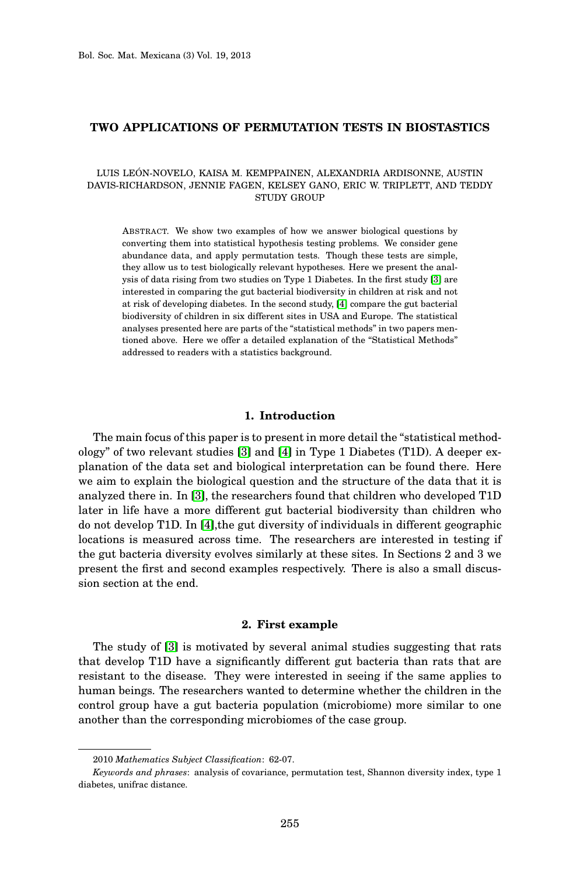# **TWO APPLICATIONS OF PERMUTATION TESTS IN BIOSTASTICS**

## LUIS LEÓN-NOVELO, KAISA M. KEMPPAINEN, ALEXANDRIA ARDISONNE, AUSTIN DAVIS-RICHARDSON, JENNIE FAGEN, KELSEY GANO, ERIC W. TRIPLETT, AND TEDDY STUDY GROUP

ABSTRACT. We show two examples of how we answer biological questions by converting them into statistical hypothesis testing problems. We consider gene abundance data, and apply permutation tests. Though these tests are simple, they allow us to test biologically relevant hypotheses. Here we present the analysis of data rising from two studies on Type 1 Diabetes. In the first study [\[3\]](#page-11-0) are interested in comparing the gut bacterial biodiversity in children at risk and not at risk of developing diabetes. In the second study, [\[4\]](#page-11-1) compare the gut bacterial biodiversity of children in six different sites in USA and Europe. The statistical analyses presented here are parts of the "statistical methods" in two papers mentioned above. Here we offer a detailed explanation of the "Statistical Methods" addressed to readers with a statistics background.

### **1. Introduction**

The main focus of this paper is to present in more detail the "statistical methodology" of two relevant studies [\[3\]](#page-11-0) and [\[4\]](#page-11-1) in Type 1 Diabetes (T1D). A deeper explanation of the data set and biological interpretation can be found there. Here we aim to explain the biological question and the structure of the data that it is analyzed there in. In [\[3\]](#page-11-0), the researchers found that children who developed T1D later in life have a more different gut bacterial biodiversity than children who do not develop T1D. In [\[4\]](#page-11-1),the gut diversity of individuals in different geographic locations is measured across time. The researchers are interested in testing if the gut bacteria diversity evolves similarly at these sites. In Sections 2 and 3 we present the first and second examples respectively. There is also a small discussion section at the end.

### **2. First example**

The study of [\[3\]](#page-11-0) is motivated by several animal studies suggesting that rats that develop T1D have a significantly different gut bacteria than rats that are resistant to the disease. They were interested in seeing if the same applies to human beings. The researchers wanted to determine whether the children in the control group have a gut bacteria population (microbiome) more similar to one another than the corresponding microbiomes of the case group.

<sup>2010</sup> *Mathematics Subject Classification*: 62-07.

*Keywords and phrases*: analysis of covariance, permutation test, Shannon diversity index, type 1 diabetes, unifrac distance.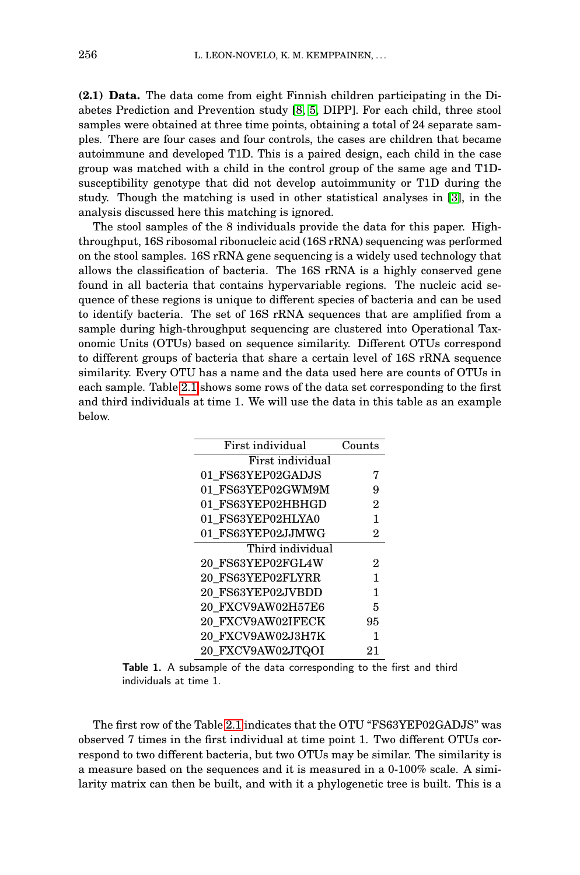<span id="page-1-0"></span>**(2.1) Data.** The data come from eight Finnish children participating in the Diabetes Prediction and Prevention study [\[8,](#page-11-2) [5,](#page-11-3) DIPP]. For each child, three stool samples were obtained at three time points, obtaining a total of 24 separate samples. There are four cases and four controls, the cases are children that became autoimmune and developed T1D. This is a paired design, each child in the case group was matched with a child in the control group of the same age and T1Dsusceptibility genotype that did not develop autoimmunity or T1D during the study. Though the matching is used in other statistical analyses in [\[3\]](#page-11-0), in the analysis discussed here this matching is ignored.

The stool samples of the 8 individuals provide the data for this paper. Highthroughput, 16S ribosomal ribonucleic acid (16S rRNA) sequencing was performed on the stool samples. 16S rRNA gene sequencing is a widely used technology that allows the classification of bacteria. The 16S rRNA is a highly conserved gene found in all bacteria that contains hypervariable regions. The nucleic acid sequence of these regions is unique to different species of bacteria and can be used to identify bacteria. The set of 16S rRNA sequences that are amplified from a sample during high-throughput sequencing are clustered into Operational Taxonomic Units (OTUs) based on sequence similarity. Different OTUs correspond to different groups of bacteria that share a certain level of 16S rRNA sequence similarity. Every OTU has a name and the data used here are counts of OTUs in each sample. Table [2.1](#page-1-0) shows some rows of the data set corresponding to the first and third individuals at time 1. We will use the data in this table as an example below.

| First individual  | Counts         |
|-------------------|----------------|
| First individual  |                |
| 01 FS63YEP02GADJS | 7              |
| 01 FS63YEP02GWM9M | 9              |
| 01 FS63YEP02HBHGD | $\mathbf{2}$   |
| 01 FS63YEP02HLYA0 | 1              |
| 01 FS63YEP02JJMWG | $\mathbf{2}$   |
| Third individual  |                |
| 20 FS63YEP02FGL4W | $\overline{2}$ |
| 20 FS63YEP02FLYRR | 1              |
| 20 FS63YEP02JVBDD | 1              |
| 20 FXCV9AW02H57E6 | 5              |
| 20 FXCV9AW02IFECK | 95             |
| 20 FXCV9AW02J3H7K | 1              |
| 20 FXCV9AW02JTQOI | 21             |

<span id="page-1-1"></span>Table 1. A subsample of the data corresponding to the first and third individuals at time 1.

The first row of the Table [2.1](#page-1-0) indicates that the OTU "FS63YEP02GADJS" was observed 7 times in the first individual at time point 1. Two different OTUs correspond to two different bacteria, but two OTUs may be similar. The similarity is a measure based on the sequences and it is measured in a 0-100% scale. A similarity matrix can then be built, and with it a phylogenetic tree is built. This is a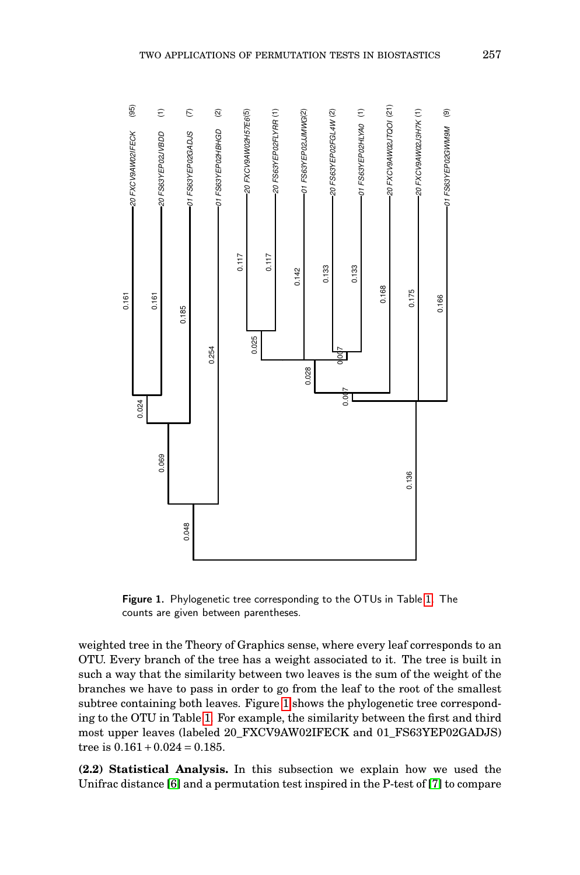

<span id="page-2-0"></span>Figure 1. Phylogenetic tree corresponding to the OTUs in Table [1.](#page-1-1) The counts are given between parentheses.

weighted tree in the Theory of Graphics sense, where every leaf corresponds to an OTU. Every branch of the tree has a weight associated to it. The tree is built in such a way that the similarity between two leaves is the sum of the weight of the branches we have to pass in order to go from the leaf to the root of the smallest subtree containing both leaves. Figure [1](#page-2-0) shows the phylogenetic tree corresponding to the OTU in Table [1.](#page-1-1) For example, the similarity between the first and third most upper leaves (labeled 20\_FXCV9AW02IFECK and 01\_FS63YEP02GADJS) tree is  $0.161 + 0.024 = 0.185$ .

**(2.2) Statistical Analysis.** In this subsection we explain how we used the Unifrac distance [\[6\]](#page-11-4) and a permutation test inspired in the P-test of [\[7\]](#page-11-5) to compare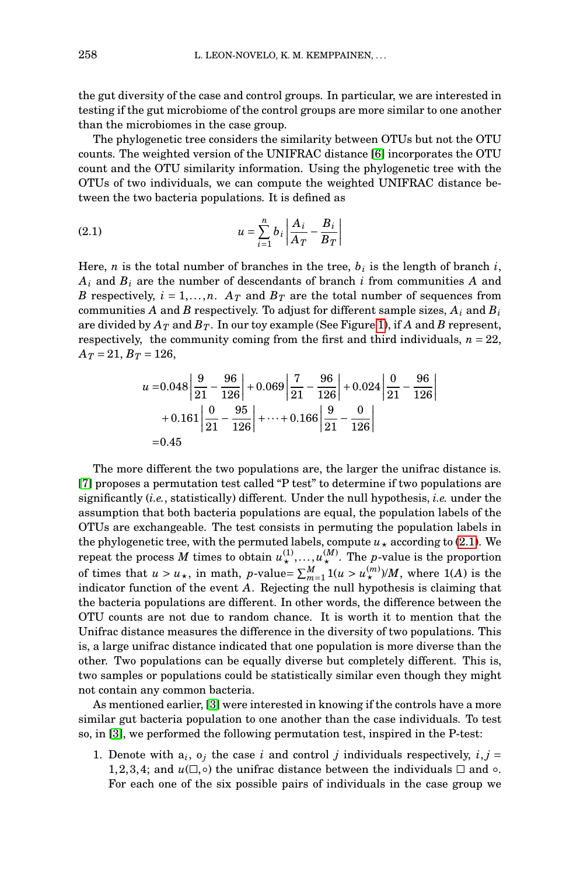the gut diversity of the case and control groups. In particular, we are interested in testing if the gut microbiome of the control groups are more similar to one another than the microbiomes in the case group.

The phylogenetic tree considers the similarity between OTUs but not the OTU counts. The weighted version of the UNIFRAC distance [\[6\]](#page-11-4) incorporates the OTU count and the OTU similarity information. Using the phylogenetic tree with the OTUs of two individuals, we can compute the weighted UNIFRAC distance between the two bacteria populations. It is defined as

<span id="page-3-0"></span>(2.1) 
$$
u = \sum_{i=1}^{n} b_i \left| \frac{A_i}{A_T} - \frac{B_i}{B_T} \right|
$$

Here, *n* is the total number of branches in the tree, *b<sup>i</sup>* is the length of branch *i*, *A<sup>i</sup>* and *B<sup>i</sup>* are the number of descendants of branch *i* from communities *A* and *B* respectively,  $i = 1, ..., n$ .  $A_T$  and  $B_T$  are the total number of sequences from communities *A* and *B* respectively. To adjust for different sample sizes, *A<sup>i</sup>* and *B<sup>i</sup>* are divided by  $A_T$  and  $B_T$ . In our toy example (See Figure [1\)](#page-2-0), if A and B represent, respectively, the community coming from the first and third individuals,  $n = 22$ ,  $A_T = 21, B_T = 126,$ 

$$
u = 0.048 \left| \frac{9}{21} - \frac{96}{126} \right| + 0.069 \left| \frac{7}{21} - \frac{96}{126} \right| + 0.024 \left| \frac{9}{21} - \frac{96}{126} \right|
$$
  
+ 0.161  $\left| \frac{0}{21} - \frac{95}{126} \right| + \dots + 0.166 \left| \frac{9}{21} - \frac{0}{126} \right|$   
= 0.45

The more different the two populations are, the larger the unifrac distance is. [\[7\]](#page-11-5) proposes a permutation test called "P test" to determine if two populations are significantly (*i.e.*, statistically) different. Under the null hypothesis, *i.e.* under the assumption that both bacteria populations are equal, the population labels of the OTUs are exchangeable. The test consists in permuting the population labels in the phylogenetic tree, with the permuted labels, compute  $u_*$  according to [\(2.1\)](#page-3-0). We repeat the process  $M$  times to obtain  $u^{(1)}_\star,\ldots,u^{(M)}_\star$ . The *p*-value is the proportion of times that  $u > u_*$ , in math, *p*-value=  $\sum_{m=1}^{M} 1(u > u_*^{(m)})/M$ , where 1(*A*) is the indicator function of the event *A*. Rejecting the null hypothesis is claiming that the bacteria populations are different. In other words, the difference between the OTU counts are not due to random chance. It is worth it to mention that the Unifrac distance measures the difference in the diversity of two populations. This is, a large unifrac distance indicated that one population is more diverse than the other. Two populations can be equally diverse but completely different. This is, two samples or populations could be statistically similar even though they might not contain any common bacteria.

As mentioned earlier, [\[3\]](#page-11-0) were interested in knowing if the controls have a more similar gut bacteria population to one another than the case individuals. To test so, in [\[3\]](#page-11-0), we performed the following permutation test, inspired in the P-test:

1. Denote with  $a_i$ ,  $o_j$  the case *i* and control *j* individuals respectively,  $i, j =$ 1,2,3,4; and  $u(\Box, \circ)$  the unifrac distance between the individuals  $\Box$  and  $\circ$ . For each one of the six possible pairs of individuals in the case group we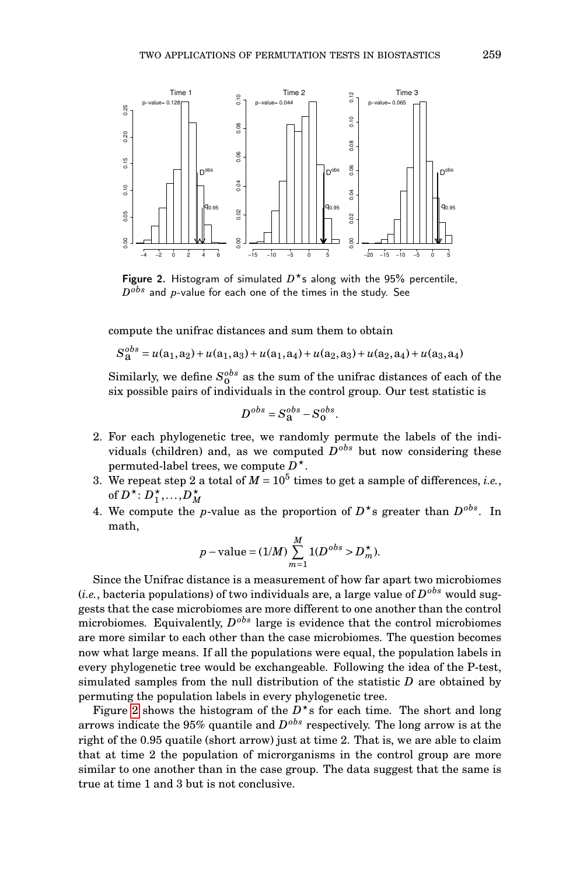

<span id="page-4-0"></span>Figure 2. Histogram of simulated  $D^*$ s along with the 95% percentile,  $D^{obs}$  and  $p\text{-value}$  for each one of the times in the study. See

compute the unifrac distances and sum them to obtain

 $S_{\mathbf{a}}^{obs} = u(\mathbf{a}_1, \mathbf{a}_2) + u(\mathbf{a}_1, \mathbf{a}_3) + u(\mathbf{a}_1, \mathbf{a}_4) + u(\mathbf{a}_2, \mathbf{a}_3) + u(\mathbf{a}_2, \mathbf{a}_4) + u(\mathbf{a}_3, \mathbf{a}_4)$ 

Similarly, we define  $S_0^{obs}$  as the sum of the unifrac distances of each of the six possible pairs of individuals in the control group. Our test statistic is

$$
D^{obs} = S_{\mathbf{a}}^{obs} - S_{\mathbf{0}}^{obs}.
$$

- 2. For each phylogenetic tree, we randomly permute the labels of the individuals (children) and, as we computed  $D^{obs}$  but now considering these permuted-label trees, we compute *D* ?.
- 3. We repeat step 2 a total of  $M = 10^5$  times to get a sample of differences, *i.e.*, of  $D^*$ :  $D_1^*,...,D_M^*$
- 4. We compute the *p*-value as the proportion of  $D^*$ s greater than  $D^{obs}$ . In math,

$$
p
$$
 - value =  $(1/M) \sum_{m=1}^{M} 1(D^{obs} > D_m^{\star}).$ 

Since the Unifrac distance is a measurement of how far apart two microbiomes (*i.e.*, bacteria populations) of two individuals are, a large value of *D obs* would suggests that the case microbiomes are more different to one another than the control microbiomes. Equivalently,  $D^{obs}$  large is evidence that the control microbiomes are more similar to each other than the case microbiomes. The question becomes now what large means. If all the populations were equal, the population labels in every phylogenetic tree would be exchangeable. Following the idea of the P-test, simulated samples from the null distribution of the statistic *D* are obtained by permuting the population labels in every phylogenetic tree.

Figure [2](#page-4-0) shows the histogram of the  $D^*$ s for each time. The short and long arrows indicate the 95% quantile and *D obs* respectively. The long arrow is at the right of the 0.95 quatile (short arrow) just at time 2. That is, we are able to claim that at time 2 the population of microrganisms in the control group are more similar to one another than in the case group. The data suggest that the same is true at time 1 and 3 but is not conclusive.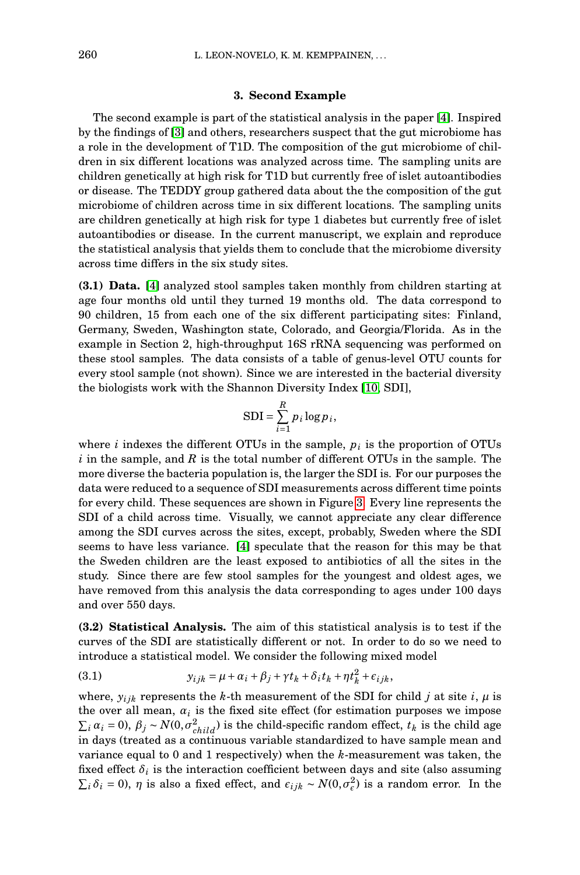#### **3. Second Example**

The second example is part of the statistical analysis in the paper [\[4\]](#page-11-1). Inspired by the findings of [\[3\]](#page-11-0) and others, researchers suspect that the gut microbiome has a role in the development of T1D. The composition of the gut microbiome of children in six different locations was analyzed across time. The sampling units are children genetically at high risk for T1D but currently free of islet autoantibodies or disease. The TEDDY group gathered data about the the composition of the gut microbiome of children across time in six different locations. The sampling units are children genetically at high risk for type 1 diabetes but currently free of islet autoantibodies or disease. In the current manuscript, we explain and reproduce the statistical analysis that yields them to conclude that the microbiome diversity across time differs in the six study sites.

**(3.1) Data.** [\[4\]](#page-11-1) analyzed stool samples taken monthly from children starting at age four months old until they turned 19 months old. The data correspond to 90 children, 15 from each one of the six different participating sites: Finland, Germany, Sweden, Washington state, Colorado, and Georgia/Florida. As in the example in Section 2, high-throughput 16S rRNA sequencing was performed on these stool samples. The data consists of a table of genus-level OTU counts for every stool sample (not shown). Since we are interested in the bacterial diversity the biologists work with the Shannon Diversity Index [\[10,](#page-11-6) SDI],

$$
SDI = \sum_{i=1}^{R} p_i \log p_i,
$$

where  $i$  indexes the different OTUs in the sample,  $p_i$  is the proportion of OTUs *i* in the sample, and *R* is the total number of different OTUs in the sample. The more diverse the bacteria population is, the larger the SDI is. For our purposes the data were reduced to a sequence of SDI measurements across different time points for every child. These sequences are shown in Figure [3.](#page-7-0) Every line represents the SDI of a child across time. Visually, we cannot appreciate any clear difference among the SDI curves across the sites, except, probably, Sweden where the SDI seems to have less variance. [\[4\]](#page-11-1) speculate that the reason for this may be that the Sweden children are the least exposed to antibiotics of all the sites in the study. Since there are few stool samples for the youngest and oldest ages, we have removed from this analysis the data corresponding to ages under 100 days and over 550 days.

**(3.2) Statistical Analysis.** The aim of this statistical analysis is to test if the curves of the SDI are statistically different or not. In order to do so we need to introduce a statistical model. We consider the following mixed model

<span id="page-5-0"></span>(3.1) 
$$
y_{ijk} = \mu + \alpha_i + \beta_j + \gamma t_k + \delta_i t_k + \eta t_k^2 + \epsilon_{ijk},
$$

where,  $y_{ijk}$  represents the *k*-th measurement of the SDI for child *j* at site *i*,  $\mu$  is the over all mean,  $a_i$  is the fixed site effect (for estimation purposes we impose  $\sum_i \alpha_i = 0$ ,  $\beta_j \sim N(0, \sigma_{child}^2)$  is the child-specific random effect,  $t_k$  is the child age in days (treated as a continuous variable standardized to have sample mean and variance equal to 0 and 1 respectively) when the *k*-measurement was taken, the fixed effect  $\delta_i$  is the interaction coefficient between days and site (also assuming  $\Sigma_i$ δ*i* = 0), *η* is also a fixed effect, and  $ε_{ijk}$  ∼  $N(0, σ_ε^2)$  is a random error. In the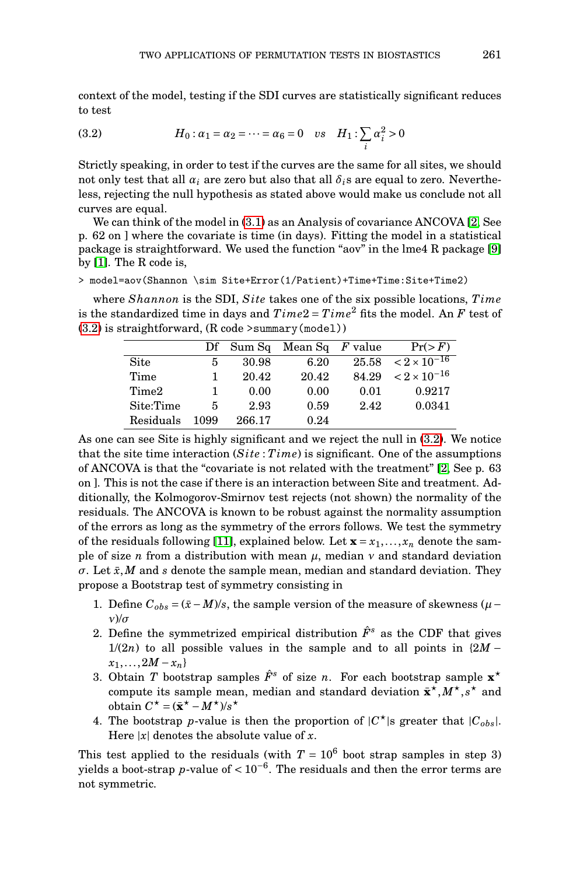context of the model, testing if the SDI curves are statistically significant reduces to test

<span id="page-6-0"></span>(3.2) 
$$
H_0: \alpha_1 = \alpha_2 = \dots = \alpha_6 = 0 \text{ vs } H_1: \sum_i \alpha_i^2 > 0
$$

Strictly speaking, in order to test if the curves are the same for all sites, we should not only test that all  $\alpha_i$  are zero but also that all  $\delta_i$ s are equal to zero. Nevertheless, rejecting the null hypothesis as stated above would make us conclude not all curves are equal.

We can think of the model in [\(3.1\)](#page-5-0) as an Analysis of covariance ANCOVA [\[2,](#page-11-7) See p. 62 on ] where the covariate is time (in days). Fitting the model in a statistical package is straightforward. We used the function "aov" in the lme4 R package [\[9\]](#page-11-8) by [\[1\]](#page-11-9). The R code is,

> model=aov(Shannon \sim Site+Error(1/Patient)+Time+Time:Site+Time2)

where *Shannon* is the SDI, *S ite* takes one of the six possible locations, *T ime* is the standardized time in days and  $Time2 = Time^2$  fits the model. An *F* test of [\(3.2\)](#page-6-0) is straightforward, (R code >summary(model))

|           | Df   |        | Sum Sq Mean Sq F value |       | Pr(>F)                    |
|-----------|------|--------|------------------------|-------|---------------------------|
| Site      | 5    | 30.98  | 6.20                   | 25.58 | $< 2 \times 10^{-16}$     |
| Time      |      | 20.42  | 20.42                  | 84.29 | $<$ 2 $\times$ $10^{-16}$ |
| Time2     |      | 0.00   | 0.00                   | 0.01  | 0.9217                    |
| Site:Time | 5    | 2.93   | 0.59                   | 2.42  | 0.0341                    |
| Residuals | 1099 | 266.17 | 0.24                   |       |                           |

As one can see Site is highly significant and we reject the null in [\(3.2\)](#page-6-0). We notice that the site time interaction (*S ite* : *T ime*) is significant. One of the assumptions of ANCOVA is that the "covariate is not related with the treatment" [\[2,](#page-11-7) See p. 63 on ]. This is not the case if there is an interaction between Site and treatment. Additionally, the Kolmogorov-Smirnov test rejects (not shown) the normality of the residuals. The ANCOVA is known to be robust against the normality assumption of the errors as long as the symmetry of the errors follows. We test the symmetry of the residuals following [\[11\]](#page-11-10), explained below. Let  $\mathbf{x} = x_1, \ldots, x_n$  denote the sample of size *n* from a distribution with mean  $\mu$ , median  $\nu$  and standard deviation  $\sigma$ . Let  $\bar{x}$ , *M* and *s* denote the sample mean, median and standard deviation. They propose a Bootstrap test of symmetry consisting in

- 1. Define  $C_{obs} = (\bar{x} M)/s$ , the sample version of the measure of skewness ( $\mu$  − *ν*)/*σ*
- 2. Define the symmetrized empirical distribution  $\hat{F}^s$  as the CDF that gives  $1/(2n)$  to all possible values in the sample and to all points in  $\{2M - \}$  $x_1, \ldots, 2M - x_n$
- 3. Obtain *T* bootstrap samples  $\hat{F}^s$  of size *n*. For each bootstrap sample  $\mathbf{x}^*$ compute its sample mean, median and standard deviation  $\bar{\mathbf{x}}^{\star}, M^{\star}, s^{\star}$  and obtain  $C^{\star} = (\bar{\mathbf{x}}^{\star} - M^{\star})/s^{\star}$
- 4. The bootstrap *p*-value is then the proportion of  $|C^{\star}|$ s greater that  $|C_{obs}|$ . Here  $|x|$  denotes the absolute value of  $x$ .

This test applied to the residuals (with  $T = 10^6$  boot strap samples in step 3) yields a boot-strap *p*-value of  $< 10^{-6}$ . The residuals and then the error terms are not symmetric.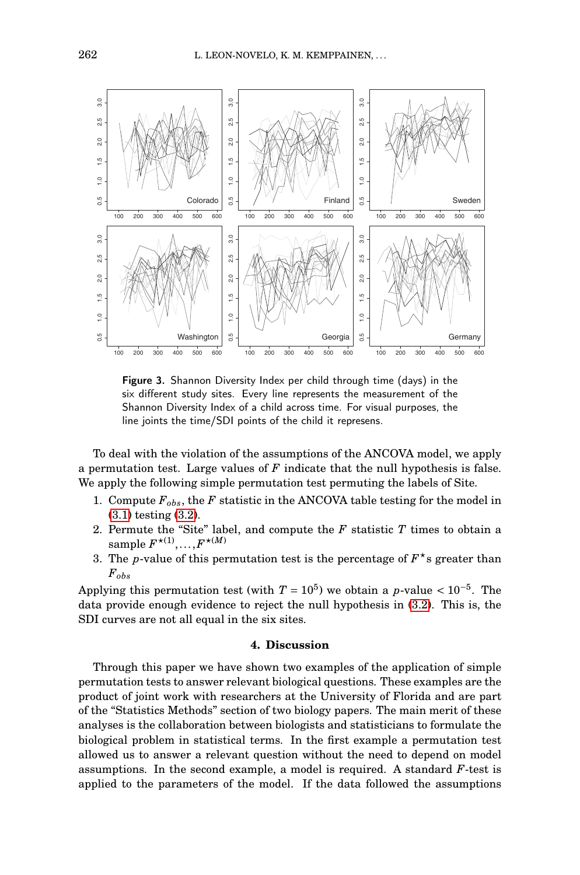

<span id="page-7-0"></span>Figure 3. Shannon Diversity Index per child through time (days) in the six different study sites. Every line represents the measurement of the Shannon Diversity Index of a child across time. For visual purposes, the line joints the time/SDI points of the child it represens.

To deal with the violation of the assumptions of the ANCOVA model, we apply a permutation test. Large values of *F* indicate that the null hypothesis is false. We apply the following simple permutation test permuting the labels of Site.

- 1. Compute  $F_{obs}$ , the *F* statistic in the ANCOVA table testing for the model in [\(3.1\)](#page-5-0) testing [\(3.2\)](#page-6-0).
- 2. Permute the "Site" label, and compute the *F* statistic *T* times to obtain a  $\mathrm{sample}\, F^{\star(1)}, \ldots, F^{\star(M)}$
- 3. The *p*-value of this permutation test is the percentage of  $F^*$ s greater than *Fobs*

Applying this permutation test (with  $T = 10^5$ ) we obtain a *p*-value <  $10^{-5}$ . The data provide enough evidence to reject the null hypothesis in [\(3.2\)](#page-6-0). This is, the SDI curves are not all equal in the six sites.

#### **4. Discussion**

Through this paper we have shown two examples of the application of simple permutation tests to answer relevant biological questions. These examples are the product of joint work with researchers at the University of Florida and are part of the "Statistics Methods" section of two biology papers. The main merit of these analyses is the collaboration between biologists and statisticians to formulate the biological problem in statistical terms. In the first example a permutation test allowed us to answer a relevant question without the need to depend on model assumptions. In the second example, a model is required. A standard *F*-test is applied to the parameters of the model. If the data followed the assumptions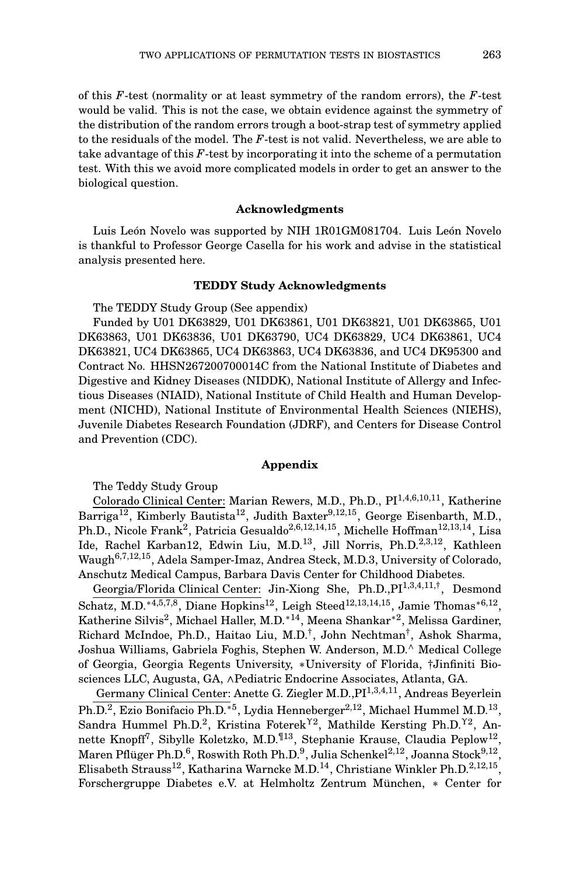of this *F*-test (normality or at least symmetry of the random errors), the *F*-test would be valid. This is not the case, we obtain evidence against the symmetry of the distribution of the random errors trough a boot-strap test of symmetry applied to the residuals of the model. The *F*-test is not valid. Nevertheless, we are able to take advantage of this *F*-test by incorporating it into the scheme of a permutation test. With this we avoid more complicated models in order to get an answer to the biological question.

## **Acknowledgments**

Luis León Novelo was supported by NIH 1R01GM081704. Luis León Novelo is thankful to Professor George Casella for his work and advise in the statistical analysis presented here.

## **TEDDY Study Acknowledgments**

The TEDDY Study Group (See appendix)

Funded by U01 DK63829, U01 DK63861, U01 DK63821, U01 DK63865, U01 DK63863, U01 DK63836, U01 DK63790, UC4 DK63829, UC4 DK63861, UC4 DK63821, UC4 DK63865, UC4 DK63863, UC4 DK63836, and UC4 DK95300 and Contract No. HHSN267200700014C from the National Institute of Diabetes and Digestive and Kidney Diseases (NIDDK), National Institute of Allergy and Infectious Diseases (NIAID), National Institute of Child Health and Human Development (NICHD), National Institute of Environmental Health Sciences (NIEHS), Juvenile Diabetes Research Foundation (JDRF), and Centers for Disease Control and Prevention (CDC).

#### **Appendix**

The Teddy Study Group

Colorado Clinical Center: Marian Rewers, M.D., Ph.D., PI1,4,6,10,11, Katherine Barriga<sup>12</sup>, Kimberly Bautista<sup>12</sup>, Judith Baxter<sup>9,12,15</sup>, George Eisenbarth, M.D., Ph.D., Nicole Frank<sup>2</sup>, Patricia Gesualdo<sup>2,6,12,14,15</sup>, Michelle Hoffman<sup>12,13,14</sup>, Lisa Ide, Rachel Karban12, Edwin Liu, M.D.13, Jill Norris, Ph.D.2,3,12, Kathleen Waugh6,7,12,15, Adela Samper-Imaz, Andrea Steck, M.D.3, University of Colorado, Anschutz Medical Campus, Barbara Davis Center for Childhood Diabetes.

Georgia/Florida Clinical Center: Jin-Xiong She, Ph.D., PI<sup>1,3,4,11,†</sup>, Desmond  $\overline{\text{Schatz, M.D.}^{*4,5,7,8}, \text{Diane Hopkins}^{12}}$ , Leigh Steed<sup>12,13,14,15</sup>, Jamie Thomas<sup>\*6,12</sup>, Katherine Silvis<sup>2</sup>, Michael Haller, M.D.<sup>∗14</sup>, Meena Shankar<sup>∗2</sup>, Melissa Gardiner, Richard McIndoe, Ph.D., Haitao Liu, M.D.† , John Nechtman† , Ashok Sharma, Joshua Williams, Gabriela Foghis, Stephen W. Anderson, M.D.<sup>∧</sup> Medical College of Georgia, Georgia Regents University, ∗University of Florida, †Jinfiniti Biosciences LLC, Augusta, GA, ∧Pediatric Endocrine Associates, Atlanta, GA.

Germany Clinical Center: Anette G. Ziegler M.D., PI<sup>1,3,4,11</sup>, Andreas Beyerlein Ph.D.<sup>2</sup>, Ezio Bonifacio Ph.D.<sup>∗5</sup>, Lydia Henneberger<sup>2,12</sup>, Michael Hummel M.D.<sup>13</sup>, Sandra Hummel Ph.D.<sup>2</sup>, Kristina Foterek<sup>Y2</sup>, Mathilde Kersting Ph.D.<sup>Y2</sup>, Annette Knopff $^7$ , Sibylle Koletzko, M.D. $^{\text{I\hspace{-.1em}I}3}$ , Stephanie Krause, Claudia Peplow $^{12},$ Maren Pflüger Ph.D. $^{6}$ , Roswith Roth Ph.D. $^{9}$ , Julia Schenkel $^{2,12}$ , Joanna Stock $^{9,12},$ Elisabeth Strauss<sup>12</sup>, Katharina Warncke M.D.<sup>14</sup>, Christiane Winkler Ph.D.<sup>2,12,15</sup>, Forschergruppe Diabetes e.V. at Helmholtz Zentrum München, ∗ Center for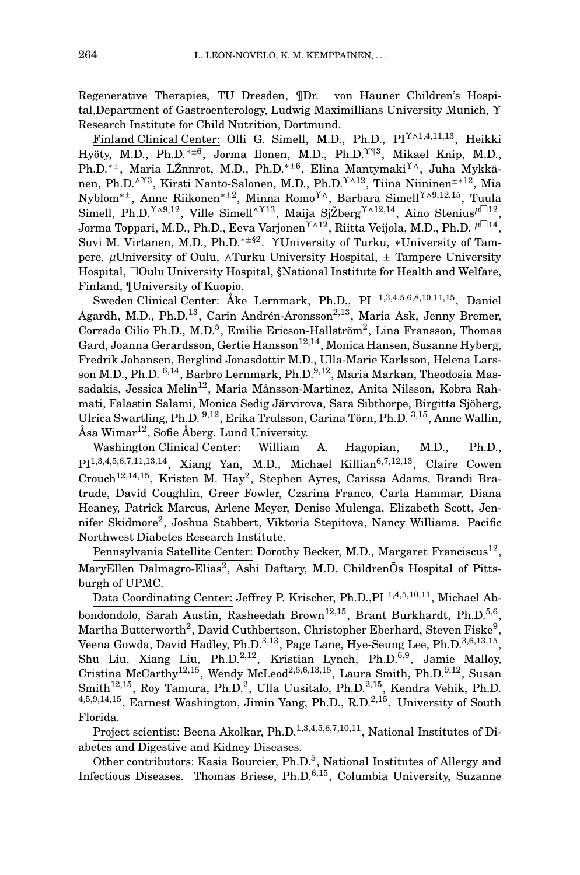Regenerative Therapies, TU Dresden, ¶Dr. von Hauner Children's Hospital,Department of Gastroenterology, Ludwig Maximillians University Munich, Υ Research Institute for Child Nutrition, Dortmund.

Finland Clinical Center: Olli G. Simell, M.D., Ph.D., PIΥ∧1,4,11,13, Heikki Hyöty, M.D., Ph.D.<sup>\*±6</sup>, Jorma Ilonen, M.D., Ph.D.<sup>Y¶3</sup>, Mikael Knip, M.D., Ph.D.<sup>∗±</sup>, Maria LŽnnrot, M.D., Ph.D.<sup>∗±6</sup>, Elina Mantymaki<sup>Y∧</sup>, Juha Mykkänen, Ph.D.<sup>∧Y3</sup>, Kirsti Nanto-Salonen, M.D., Ph.D.<sup>Υ∧12</sup>, Tiina Niininen<sup>±∗12</sup>, Mia Nyblom<sup>∗±</sup>, Anne Riikonen<sup>∗±2</sup>, Minna Romo<sup>Y∧</sup>, Barbara Simell<sup>Y∧9,12,15</sup>, Tuula Simell, Ph.D.<sup>Y∧9,12</sup>, Ville Simell<sup>∧Y13</sup>, Maija SjŽberg<sup>Y∧12,14</sup>, Aino Stenius<sup>µ□12</sup>, Jorma Toppari, M.D., Ph.D., Eeva VarjonenΥ∧12, Riitta Veijola, M.D., Ph.D. *<sup>µ</sup>*<sup>14</sup> , Suvi M. Virtanen, M.D., Ph.D.<sup>\*±§2</sup>. YUniversity of Turku, \*University of Tampere, *µ*University of Oulu, ∧Turku University Hospital, ± Tampere University Hospital, Oulu University Hospital, §National Institute for Health and Welfare, Finland, ¶University of Kuopio.

Sweden Clinical Center: Åke Lernmark, Ph.D., PI <sup>1</sup>,3,4,5,6,8,10,11,15, Daniel Agardh, M.D., Ph.D.<sup>13</sup>, Carin Andrén-Aronsson<sup>2,13</sup>, Maria Ask, Jenny Bremer, Corrado Cilio Ph.D., M.D.<sup>5</sup>, Emilie Ericson-Hallström<sup>2</sup>, Lina Fransson, Thomas Gard, Joanna Gerardsson, Gertie Hansson<sup>12,14</sup>, Monica Hansen, Susanne Hyberg, Fredrik Johansen, Berglind Jonasdottir M.D., Ulla-Marie Karlsson, Helena Larsson M.D., Ph.D.  $6,14$ , Barbro Lernmark, Ph.D.  $9,12$ , Maria Markan, Theodosia Massadakis, Jessica Melin<sup>12</sup>, Maria Månsson-Martinez, Anita Nilsson, Kobra Rahmati, Falastin Salami, Monica Sedig Järvirova, Sara Sibthorpe, Birgitta Sjöberg, Ulrica Swartling, Ph.D. <sup>9</sup>,12, Erika Trulsson, Carina Törn, Ph.D. <sup>3</sup>,15, Anne Wallin, Åsa Wimar<sup>12</sup>, Sofie Åberg. Lund University.

Washington Clinical Center: William A. Hagopian, M.D., Ph.D.,  $PI^{1,3,4,5,6,7,11,13,14}$ , Xiang Yan, M.D., Michael Killian<sup>6,7,12,13</sup>, Claire Cowen Crouch<sup>12,14,15</sup>, Kristen M. Hay<sup>2</sup>, Stephen Ayres, Carissa Adams, Brandi Bratrude, David Coughlin, Greer Fowler, Czarina Franco, Carla Hammar, Diana Heaney, Patrick Marcus, Arlene Meyer, Denise Mulenga, Elizabeth Scott, Jennifer Skidmore<sup>2</sup>, Joshua Stabbert, Viktoria Stepitova, Nancy Williams. Pacific Northwest Diabetes Research Institute.

Pennsylvania Satellite Center: Dorothy Becker, M.D., Margaret Franciscus<sup>12</sup>, MaryEllen Dalmagro-Elias<sup>2</sup>, Ashi Daftary, M.D. ChildrenÕs Hospital of Pittsburgh of UPMC.

Data Coordinating Center: Jeffrey P. Krischer, Ph.D., PI<sup>1,4,5,10,11</sup>, Michael Abbondondolo, Sarah Austin, Rasheedah Brown<sup>12,15</sup>, Brant Burkhardt, Ph.D.<sup>5,6</sup>, Martha Butterworth $^2$ , David Cuthbertson, Christopher Eberhard, Steven Fiske $^9$ , Veena Gowda, David Hadley, Ph.D.<sup>3,13</sup>, Page Lane, Hye-Seung Lee, Ph.D.<sup>3,6,13,15</sup>, Shu Liu, Xiang Liu, Ph.D.<sup>2,12</sup>, Kristian Lynch, Ph.D.<sup>6,9</sup>, Jamie Malloy, Cristina McCarthy<sup>12,15</sup>, Wendy McLeod<sup>2,5,6,13,15</sup>, Laura Smith, Ph.D.<sup>9,12</sup>, Susan Smith<sup>12,15</sup>, Roy Tamura, Ph.D.<sup>2</sup>, Ulla Uusitalo, Ph.D.<sup>2,15</sup>, Kendra Vehik, Ph.D.  $4,5,9,14,15$ , Earnest Washington, Jimin Yang, Ph.D., R.D.<sup>2,15</sup>. University of South Florida.

Project scientist: Beena Akolkar, Ph.D.<sup>1,3,4,5,6,7,10,11</sup>, National Institutes of Diabetes and Digestive and Kidney Diseases.

Other contributors: Kasia Bourcier, Ph.D.<sup>5</sup>, National Institutes of Allergy and Infectious Diseases. Thomas Briese,  $Ph.D.<sup>6,15</sup>$ , Columbia University, Suzanne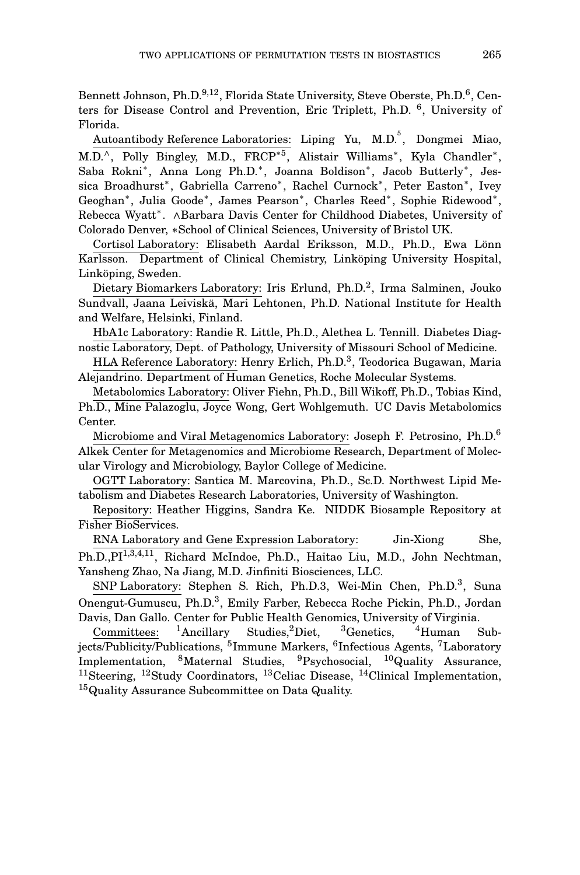Bennett Johnson, Ph.D.<sup>9,12</sup>, Florida State University, Steve Oberste, Ph.D.<sup>6</sup>, Centers for Disease Control and Prevention, Eric Triplett, Ph.D. <sup>6</sup>, University of Florida.

Autoantibody Reference Laboratories: Liping Yu, M.D.<sup>5</sup>, Dongmei Miao, M.D.^, Polly Bingley, M.D., FRCP<sup>\*5</sup>, Alistair Williams<sup>\*</sup>, Kyla Chandler<sup>\*</sup>, Saba Rokni\*, Anna Long Ph.D.\*, Joanna Boldison\*, Jacob Butterly\*, Jessica Broadhurst<sup>∗</sup> , Gabriella Carreno<sup>∗</sup> , Rachel Curnock<sup>∗</sup> , Peter Easton<sup>∗</sup> , Ivey Geoghan<sup>\*</sup>, Julia Goode<sup>\*</sup>, James Pearson<sup>\*</sup>, Charles Reed<sup>\*</sup>, Sophie Ridewood<sup>\*</sup>, Rebecca Wyatt<sup>∗</sup> . ∧Barbara Davis Center for Childhood Diabetes, University of Colorado Denver, ∗School of Clinical Sciences, University of Bristol UK.

Cortisol Laboratory: Elisabeth Aardal Eriksson, M.D., Ph.D., Ewa Lönn Karlsson. Department of Clinical Chemistry, Linköping University Hospital, Linköping, Sweden.

Dietary Biomarkers Laboratory: Iris Erlund, Ph.D.<sup>2</sup>, Irma Salminen, Jouko Sundvall, Jaana Leiviskä, Mari Lehtonen, Ph.D. National Institute for Health and Welfare, Helsinki, Finland.

HbA1c Laboratory: Randie R. Little, Ph.D., Alethea L. Tennill. Diabetes Diagnostic Laboratory, Dept. of Pathology, University of Missouri School of Medicine.

HLA Reference Laboratory: Henry Erlich, Ph.D.<sup>3</sup>, Teodorica Bugawan, Maria Alejandrino. Department of Human Genetics, Roche Molecular Systems.

Metabolomics Laboratory: Oliver Fiehn, Ph.D., Bill Wikoff, Ph.D., Tobias Kind, Ph.D., Mine Palazoglu, Joyce Wong, Gert Wohlgemuth. UC Davis Metabolomics Center.

Microbiome and Viral Metagenomics Laboratory: Joseph F. Petrosino, Ph.D.<sup>6</sup> Alkek Center for Metagenomics and Microbiome Research, Department of Molecular Virology and Microbiology, Baylor College of Medicine.

OGTT Laboratory: Santica M. Marcovina, Ph.D., Sc.D. Northwest Lipid Metabolism and Diabetes Research Laboratories, University of Washington.

Repository: Heather Higgins, Sandra Ke. NIDDK Biosample Repository at Fisher BioServices.

RNA Laboratory and Gene Expression Laboratory: Jin-Xiong She, Ph.D.,PI<sup>1,3,4,11</sup>, Richard McIndoe, Ph.D., Haitao Liu, M.D., John Nechtman, Yansheng Zhao, Na Jiang, M.D. Jinfiniti Biosciences, LLC.

SNP Laboratory: Stephen S. Rich, Ph.D.3, Wei-Min Chen, Ph.D.<sup>3</sup>, Suna Onengut-Gumuscu, Ph.D.<sup>3</sup>, Emily Farber, Rebecca Roche Pickin, Ph.D., Jordan Davis, Dan Gallo. Center for Public Health Genomics, University of Virginia.

Committees: <sup>1</sup>Ancillary Studies, <sup>2</sup>Diet, <sup>3</sup>Genetics, <sup>4</sup>Human Subjects/Publicity/Publications, <sup>5</sup>Immune Markers, <sup>6</sup>Infectious Agents, <sup>7</sup>Laboratory Implementation, <sup>8</sup>Maternal Studies, <sup>9</sup>Psychosocial, <sup>10</sup>Quality Assurance, <sup>11</sup>Steering, <sup>12</sup>Study Coordinators, <sup>13</sup>Celiac Disease, <sup>14</sup>Clinical Implementation, <sup>15</sup>Quality Assurance Subcommittee on Data Quality.